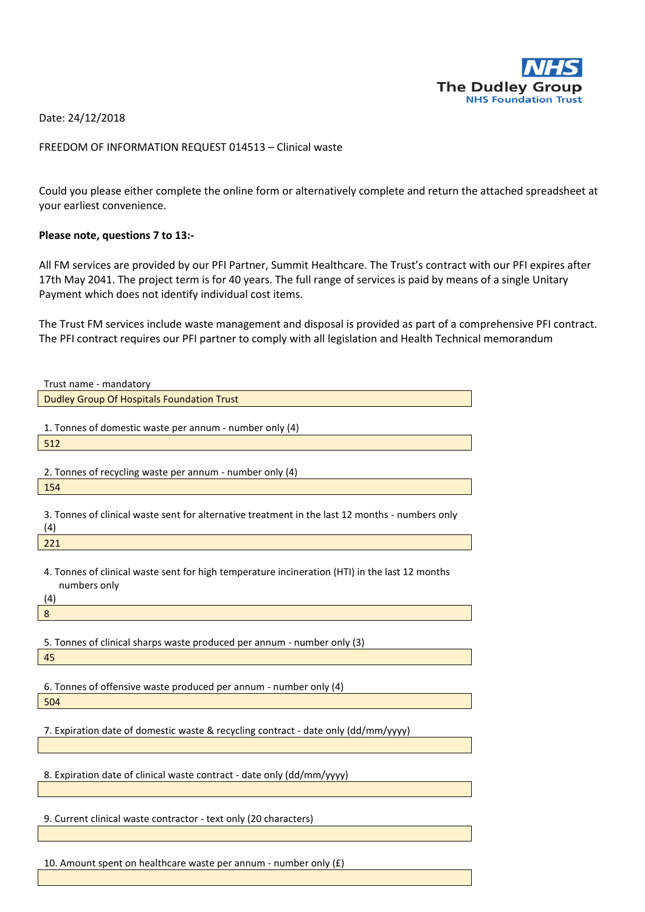

Date: 24/12/2018

## FREEDOM OF INFORMATION REQUEST 014513 – Clinical waste

Could you please either complete the online form or alternatively complete and return the attached spreadsheet at your earliest convenience.

## **Please note, questions 7 to 13:-**

All FM services are provided by our PFI Partner, Summit Healthcare. The Trust's contract with our PFI expires after 17th May 2041. The project term is for 40 years. The full range of services is paid by means of a single Unitary Payment which does not identify individual cost items.

The Trust FM services include waste management and disposal is provided as part of a comprehensive PFI contract. The PFI contract requires our PFI partner to comply with all legislation and Health Technical memorandum

| Trust name - mandatory                                                                                                |
|-----------------------------------------------------------------------------------------------------------------------|
| <b>Dudley Group Of Hospitals Foundation Trust</b>                                                                     |
| 1. Tonnes of domestic waste per annum - number only (4)                                                               |
| 512                                                                                                                   |
| 2. Tonnes of recycling waste per annum - number only (4)<br>154                                                       |
| 3. Tonnes of clinical waste sent for alternative treatment in the last 12 months - numbers only<br>(4)                |
| 221                                                                                                                   |
| 4. Tonnes of clinical waste sent for high temperature incineration (HTI) in the last 12 months<br>numbers only<br>(4) |
| $\boldsymbol{8}$                                                                                                      |
| 5. Tonnes of clinical sharps waste produced per annum - number only (3)<br>45                                         |
| 6. Tonnes of offensive waste produced per annum - number only (4)                                                     |
| 504                                                                                                                   |
| 7. Expiration date of domestic waste & recycling contract - date only (dd/mm/yyyy)                                    |
| 8. Expiration date of clinical waste contract - date only (dd/mm/yyyy)                                                |
| 9. Current clinical waste contractor - text only (20 characters)                                                      |
|                                                                                                                       |

10. Amount spent on healthcare waste per annum - number only  $(E)$